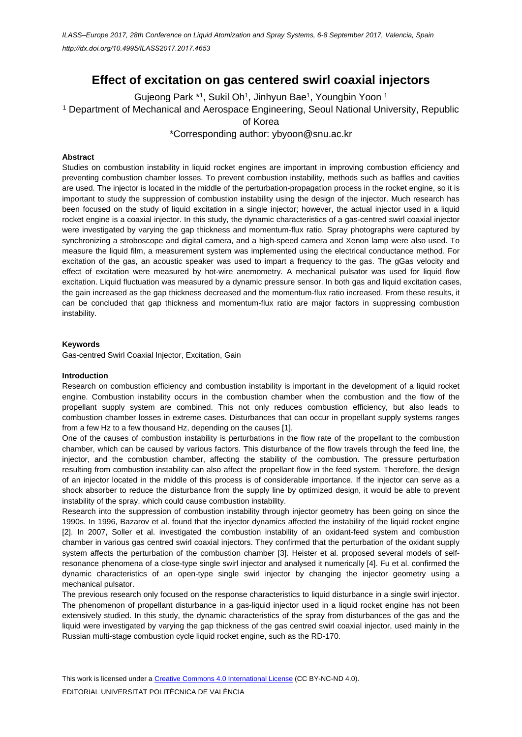# **Effect of excitation on gas centered swirl coaxial injectors**

Gujeong Park \*1, Sukil Oh1, Jinhyun Bae1, Youngbin Yoon 1 <sup>1</sup> Department of Mechanical and Aerospace Engineering, Seoul National University, Republic of Korea

\*Corresponding author: ybyoon@snu.ac.kr

# **Abstract**

Studies on combustion instability in liquid rocket engines are important in improving combustion efficiency and preventing combustion chamber losses. To prevent combustion instability, methods such as baffles and cavities are used. The injector is located in the middle of the perturbation-propagation process in the rocket engine, so it is important to study the suppression of combustion instability using the design of the injector. Much research has been focused on the study of liquid excitation in a single injector; however, the actual injector used in a liquid rocket engine is a coaxial injector. In this study, the dynamic characteristics of a gas-centred swirl coaxial injector were investigated by varying the gap thickness and momentum-flux ratio. Spray photographs were captured by synchronizing a stroboscope and digital camera, and a high-speed camera and Xenon lamp were also used. To measure the liquid film, a measurement system was implemented using the electrical conductance method. For excitation of the gas, an acoustic speaker was used to impart a frequency to the gas. The gGas velocity and effect of excitation were measured by hot-wire anemometry. A mechanical pulsator was used for liquid flow excitation. Liquid fluctuation was measured by a dynamic pressure sensor. In both gas and liquid excitation cases, the gain increased as the gap thickness decreased and the momentum-flux ratio increased. From these results, it can be concluded that gap thickness and momentum-flux ratio are major factors in suppressing combustion instability.

## **Keywords**

Gas-centred Swirl Coaxial Injector, Excitation, Gain

## **Introduction**

Research on combustion efficiency and combustion instability is important in the development of a liquid rocket engine. Combustion instability occurs in the combustion chamber when the combustion and the flow of the propellant supply system are combined. This not only reduces combustion efficiency, but also leads to combustion chamber losses in extreme cases. Disturbances that can occur in propellant supply systems ranges from a few Hz to a few thousand Hz, depending on the causes [1].

One of the causes of combustion instability is perturbations in the flow rate of the propellant to the combustion chamber, which can be caused by various factors. This disturbance of the flow travels through the feed line, the injector, and the combustion chamber, affecting the stability of the combustion. The pressure perturbation resulting from combustion instability can also affect the propellant flow in the feed system. Therefore, the design of an injector located in the middle of this process is of considerable importance. If the injector can serve as a shock absorber to reduce the disturbance from the supply line by optimized design, it would be able to prevent instability of the spray, which could cause combustion instability.

Research into the suppression of combustion instability through injector geometry has been going on since the 1990s. In 1996, Bazarov et al. found that the injector dynamics affected the instability of the liquid rocket engine [2]. In 2007, Soller et al. investigated the combustion instability of an oxidant-feed system and combustion chamber in various gas centred swirl coaxial injectors. They confirmed that the perturbation of the oxidant supply system affects the perturbation of the combustion chamber [3]. Heister et al. proposed several models of selfresonance phenomena of a close-type single swirl injector and analysed it numerically [4]. Fu et al. confirmed the dynamic characteristics of an open-type single swirl injector by changing the injector geometry using a mechanical pulsator.

The previous research only focused on the response characteristics to liquid disturbance in a single swirl injector. The phenomenon of propellant disturbance in a gas-liquid injector used in a liquid rocket engine has not been extensively studied. In this study, the dynamic characteristics of the spray from disturbances of the gas and the liquid were investigated by varying the gap thickness of the gas centred swirl coaxial injector, used mainly in the Russian multi-stage combustion cycle liquid rocket engine, such as the RD-170.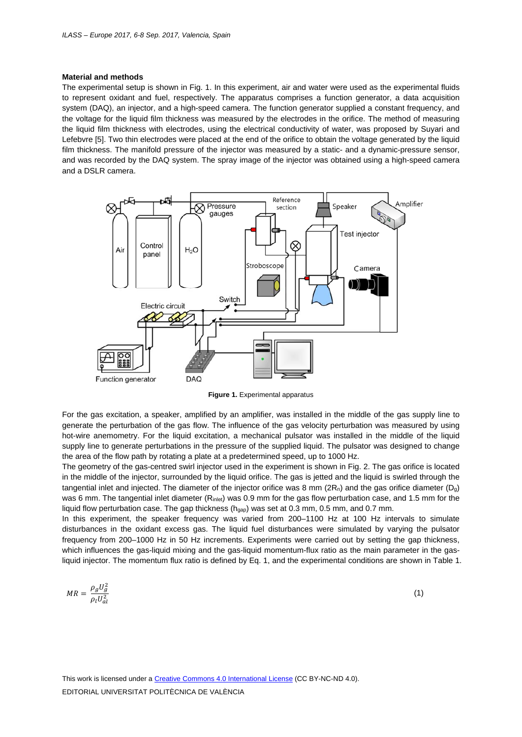## **Material and methods**

The experimental setup is shown in Fig. 1. In this experiment, air and water were used as the experimental fluids to represent oxidant and fuel, respectively. The apparatus comprises a function generator, a data acquisition system (DAQ), an injector, and a high-speed camera. The function generator supplied a constant frequency, and the voltage for the liquid film thickness was measured by the electrodes in the orifice. The method of measuring the liquid film thickness with electrodes, using the electrical conductivity of water, was proposed by Suyari and Lefebvre [5]. Two thin electrodes were placed at the end of the orifice to obtain the voltage generated by the liquid film thickness. The manifold pressure of the injector was measured by a static- and a dynamic-pressure sensor, and was recorded by the DAQ system. The spray image of the injector was obtained using a high-speed camera and a DSLR camera.



**Figure 1.** Experimental apparatus

For the gas excitation, a speaker, amplified by an amplifier, was installed in the middle of the gas supply line to generate the perturbation of the gas flow. The influence of the gas velocity perturbation was measured by using hot-wire anemometry. For the liquid excitation, a mechanical pulsator was installed in the middle of the liquid supply line to generate perturbations in the pressure of the supplied liquid. The pulsator was designed to change the area of the flow path by rotating a plate at a predetermined speed, up to 1000 Hz.

The geometry of the gas-centred swirl injector used in the experiment is shown in Fig. 2. The gas orifice is located in the middle of the injector, surrounded by the liquid orifice. The gas is jetted and the liquid is swirled through the tangential inlet and injected. The diameter of the injector orifice was 8 mm  $(2R_n)$  and the gas orifice diameter  $(D_q)$ was 6 mm. The tangential inlet diameter  $(R_{\text{inlet}})$  was 0.9 mm for the gas flow perturbation case, and 1.5 mm for the liquid flow perturbation case. The gap thickness ( $h_{qap}$ ) was set at 0.3 mm, 0.5 mm, and 0.7 mm.

In this experiment, the speaker frequency was varied from 200–1100 Hz at 100 Hz intervals to simulate disturbances in the oxidant excess gas. The liquid fuel disturbances were simulated by varying the pulsator frequency from 200–1000 Hz in 50 Hz increments. Experiments were carried out by setting the gap thickness, which influences the gas-liquid mixing and the gas-liquid momentum-flux ratio as the main parameter in the gasliquid injector. The momentum flux ratio is defined by Eq. 1, and the experimental conditions are shown in Table 1.

$$
MR = \frac{\rho_g U_g^2}{\rho_l U_{al}^2} \tag{1}
$$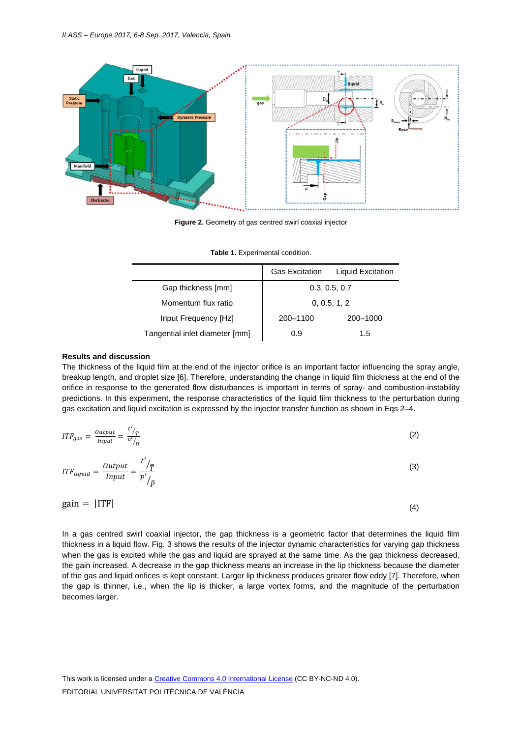

**Figure 2.** Geometry of gas centred swirl coaxial injector

|                                | <b>Gas Excitation</b> | Liquid Excitation |
|--------------------------------|-----------------------|-------------------|
| Gap thickness [mm]             | 0.3, 0.5, 0.7         |                   |
| Momentum flux ratio            |                       | 0, 0.5, 1, 2      |
| Input Frequency [Hz]           | 200-1100              | 200-1000          |
| Tangential inlet diameter [mm] | 0.9                   | 1.5               |

**Table 1.** Experimental condition.

#### **Results and discussion**

The thickness of the liquid film at the end of the injector orifice is an important factor influencing the spray angle, breakup length, and droplet size [6]. Therefore, understanding the change in liquid film thickness at the end of the orifice in response to the generated flow disturbances is important in terms of spray- and combustion-instability predictions. In this experiment, the response characteristics of the liquid film thickness to the perturbation during gas excitation and liquid excitation is expressed by the injector transfer function as shown in Eqs 2–4.

| $ITF_{gas} = \frac{Output}{Input} =$<br>$/ \bar{T}$<br>$\overline{u'}/\overline{u}$ | (2) |
|-------------------------------------------------------------------------------------|-----|
| t'<br>$ITF_{liquid} = \frac{Output}{Input} =$<br>$/ \bar{\tau}$<br>p'<br>$\bar{D}$  | (3) |

| $gain =  ITF $ | (4) |
|----------------|-----|
|                |     |

In a gas centred swirl coaxial injector, the gap thickness is a geometric factor that determines the liquid film thickness in a liquid flow. Fig. 3 shows the results of the injector dynamic characteristics for varying gap thickness when the gas is excited while the gas and liquid are sprayed at the same time. As the gap thickness decreased, the gain increased. A decrease in the gap thickness means an increase in the lip thickness because the diameter of the gas and liquid orifices is kept constant. Larger lip thickness produces greater flow eddy [7]. Therefore, when the gap is thinner, i.e., when the lip is thicker, a large vortex forms, and the magnitude of the perturbation becomes larger.

This work is licensed under a Creative Commons 4.0 International License (CC BY-NC-ND 4.0). EDITORIAL UNIVERSITAT POLITÈCNICA DE VALÈNCIA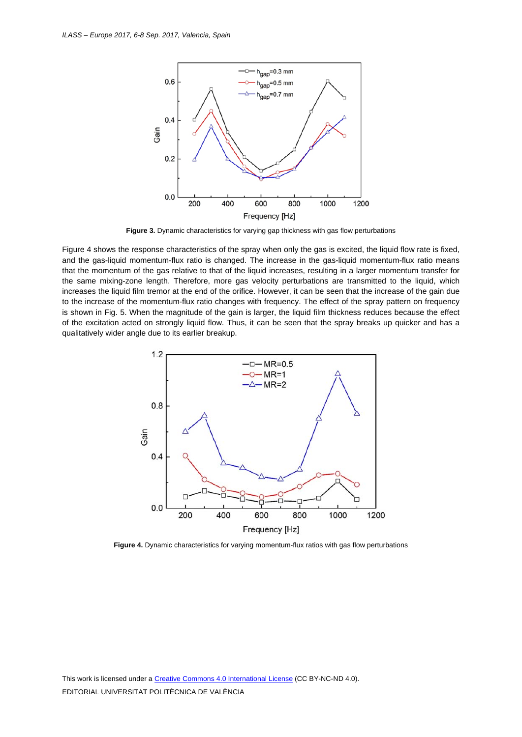

**Figure 3.** Dynamic characteristics for varying gap thickness with gas flow perturbations

Figure 4 shows the response characteristics of the spray when only the gas is excited, the liquid flow rate is fixed, and the gas-liquid momentum-flux ratio is changed. The increase in the gas-liquid momentum-flux ratio means that the momentum of the gas relative to that of the liquid increases, resulting in a larger momentum transfer for the same mixing-zone length. Therefore, more gas velocity perturbations are transmitted to the liquid, which increases the liquid film tremor at the end of the orifice. However, it can be seen that the increase of the gain due to the increase of the momentum-flux ratio changes with frequency. The effect of the spray pattern on frequency is shown in Fig. 5. When the magnitude of the gain is larger, the liquid film thickness reduces because the effect of the excitation acted on strongly liquid flow. Thus, it can be seen that the spray breaks up quicker and has a qualitatively wider angle due to its earlier breakup.



**Figure 4.** Dynamic characteristics for varying momentum-flux ratios with gas flow perturbations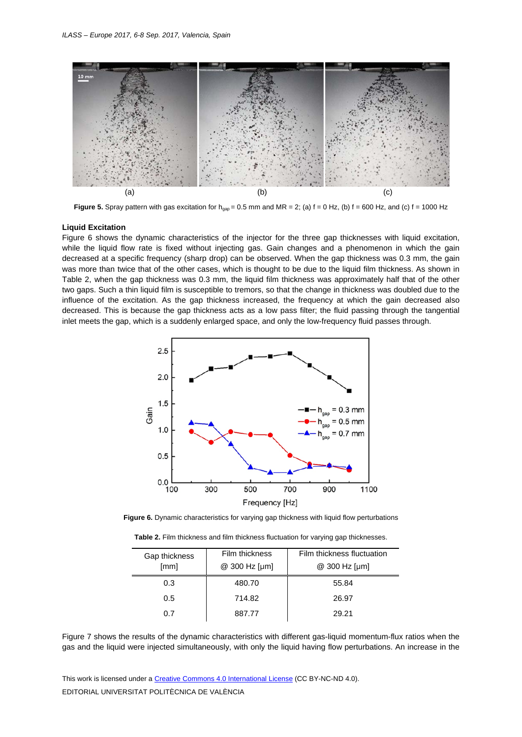

**Figure 5.** Spray pattern with gas excitation for  $h_{cap} = 0.5$  mm and MR = 2; (a)  $f = 0$  Hz, (b)  $f = 600$  Hz, and (c)  $f = 1000$  Hz

#### **Liquid Excitation**

Figure 6 shows the dynamic characteristics of the injector for the three gap thicknesses with liquid excitation, while the liquid flow rate is fixed without injecting gas. Gain changes and a phenomenon in which the gain decreased at a specific frequency (sharp drop) can be observed. When the gap thickness was 0.3 mm, the gain was more than twice that of the other cases, which is thought to be due to the liquid film thickness. As shown in Table 2, when the gap thickness was 0.3 mm, the liquid film thickness was approximately half that of the other two gaps. Such a thin liquid film is susceptible to tremors, so that the change in thickness was doubled due to the influence of the excitation. As the gap thickness increased, the frequency at which the gain decreased also decreased. This is because the gap thickness acts as a low pass filter; the fluid passing through the tangential inlet meets the gap, which is a suddenly enlarged space, and only the low-frequency fluid passes through.



**Figure 6.** Dynamic characteristics for varying gap thickness with liquid flow perturbations

| Table 2. Film thickness and film thickness fluctuation for varying gap thicknesses. |  |  |
|-------------------------------------------------------------------------------------|--|--|
|-------------------------------------------------------------------------------------|--|--|

| Gap thickness | Film thickness | Film thickness fluctuation |
|---------------|----------------|----------------------------|
| [mm]          | @ 300 Hz [µm]  | $@300 \; Hz \; [µm]$       |
| 0.3           | 480.70         | 55.84                      |
| 0.5           | 714.82         | 26.97                      |
| በ 7           | 887.77         | 29.21                      |

Figure 7 shows the results of the dynamic characteristics with different gas-liquid momentum-flux ratios when the gas and the liquid were injected simultaneously, with only the liquid having flow perturbations. An increase in the

This work is licensed under a Creative Commons 4.0 International License (CC BY-NC-ND 4.0). EDITORIAL UNIVERSITAT POLITÈCNICA DE VALÈNCIA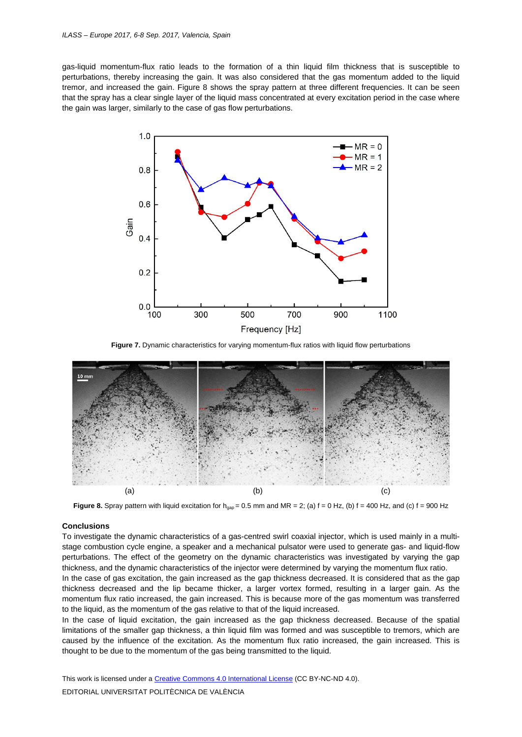gas-liquid momentum-flux ratio leads to the formation of a thin liquid film thickness that is susceptible to perturbations, thereby increasing the gain. It was also considered that the gas momentum added to the liquid tremor, and increased the gain. Figure 8 shows the spray pattern at three different frequencies. It can be seen that the spray has a clear single layer of the liquid mass concentrated at every excitation period in the case where the gain was larger, similarly to the case of gas flow perturbations.



**Figure 7.** Dynamic characteristics for varying momentum-flux ratios with liquid flow perturbations



**Figure 8.** Spray pattern with liquid excitation for h<sub>gap</sub> = 0.5 mm and MR = 2; (a)  $f = 0$  Hz, (b)  $f = 400$  Hz, and (c)  $f = 900$  Hz

#### **Conclusions**

To investigate the dynamic characteristics of a gas-centred swirl coaxial injector, which is used mainly in a multistage combustion cycle engine, a speaker and a mechanical pulsator were used to generate gas- and liquid-flow perturbations. The effect of the geometry on the dynamic characteristics was investigated by varying the gap thickness, and the dynamic characteristics of the injector were determined by varying the momentum flux ratio.

In the case of gas excitation, the gain increased as the gap thickness decreased. It is considered that as the gap thickness decreased and the lip became thicker, a larger vortex formed, resulting in a larger gain. As the momentum flux ratio increased, the gain increased. This is because more of the gas momentum was transferred to the liquid, as the momentum of the gas relative to that of the liquid increased.

In the case of liquid excitation, the gain increased as the gap thickness decreased. Because of the spatial limitations of the smaller gap thickness, a thin liquid film was formed and was susceptible to tremors, which are caused by the influence of the excitation. As the momentum flux ratio increased, the gain increased. This is thought to be due to the momentum of the gas being transmitted to the liquid.

This work is licensed under a Creative Commons 4.0 International License (CC BY-NC-ND 4.0). EDITORIAL UNIVERSITAT POLITÈCNICA DE VALÈNCIA